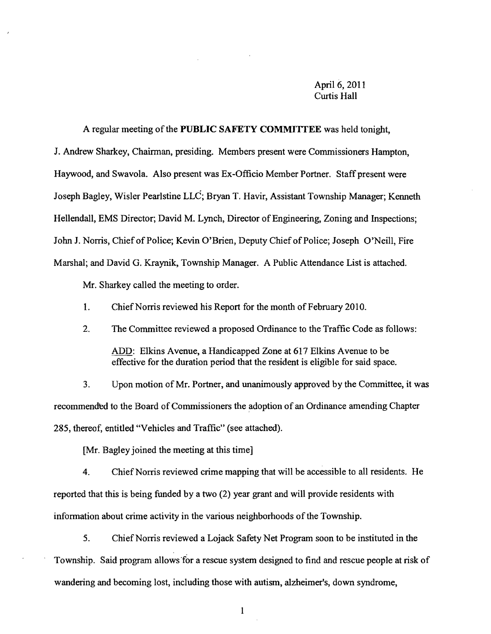## April 6, 2011 Curtis Hall

A regular meeting of the PUBLIC SAFETY COMMITTEE was held tonight, J. Andrew Sharkey, Chairman, presiding. Members present were Commissioners Hampton, Haywood, and Swavola. Also present was Ex-Officio Member Portner. Staff present were Joseph Bagley, Wisler Pearlstine LLC; Bryan T. Havir, Assistant Township Manager; Kenneth Hellendall, EMS Director; David M. Lynch, Director of Engineering, Zoning and Inspections; John J. Norris, Chief of Police; Kevin O'Brien, Deputy Chief of Police; Joseph O'Neill, Fire Marshal; and David G. Kraynik, Township Manager. A Public Attendance List is attached.

Mr. Sharkey called the meeting to order.

1. Chief Norris reviewed his Report for the month of February 2010.

2. The Committee reviewed a proposed Ordinance to the Traffic Code as follows: ADD: Elkins Avenue, a Handicapped Zone at 617 Elkins Avenue to be effective for the duration period that the resident is eligible for said space.

3. Upon motion of Mr. Portner, and unanimously approved by the Committee, it was recommended to the Board of Commissioners the adoption of an Ordinance amending Chapter 285, thereof, entitled "Vehicles and Traffic" (see attached).

[Mr. Bagley joined the meeting at this time]

4. Chief Norris reviewed crime mapping that will be accessible to all residents. He reported that this is being funded by a two (2) year grant and will provide residents with information about crime activity in the various neighborhoods of the Township.

5. Chief Norris reviewed a Lojack Safety Net Program soon to be instituted in the Township. Said program allows "for a rescue system designed to find and rescue people at risk of wandering and becoming lost, including those with autism, alzheimer'S, down syndrome,

1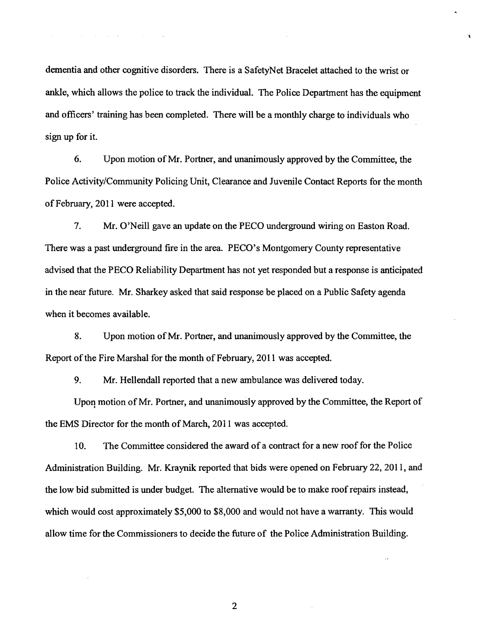dementia and other cognitive disorders. There is a SafetyNet Bracelet attached to the wrist or ankle, which allows the police to track the individual. The Police Department has the equipment and officers' training has been completed. There will be a monthly charge to individuals who sign up for it.

6. Upon motion of Mr. Portner, and unanimously approved by the Committee, the Police Activity/Community Policing Unit, Clearance and Juvenile Contact Reports for the month of February, 2011 were accepted.

7. Mr. O'Neill gave an update on the PECO underground wiring on Easton Road. There was a past underground fire in the area. PECO's Montgomery County representative advised that the PECO Reliability Department has not yet responded but a response is anticipated in the near future. Mr. Sharkey asked that said response be placed on a Public Safety agenda when it becomes available.

8. Upon motion ofMr. Portner, and unanimously approved by the Committee, the Report of the Fire Marshal for the month of February, 2011 was accepted.

9. Mr. Hellendall reported that a new ambulance was delivered today.

Upoq motion of Mr. Portner, and unanimously approved by the Committee, the Report of the EMS Director for the month of March, 2011 was accepted.

10. The Committee considered the award of a contract for a new roof for the Police Administration Building. Mr. Kraynik reported that bids were opened on February 22, 2011, and the low bid submitted is under budget. The alternative would be to make roof repairs instead, which would cost approximately \$5,000 to \$8,000 and would not have a warranty. This would allow time for the Commissioners to decide the future of the Police Administration Building.

2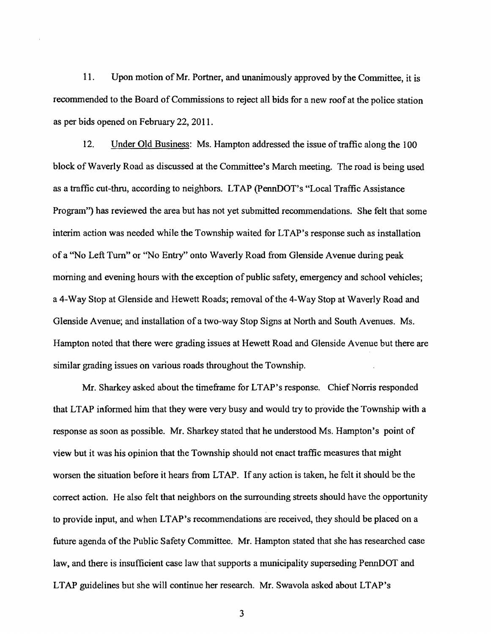11. Upon motion of Mr. Portner, and unanimously approved by the Committee, it is recommended to the Board of Commissions to reject all bids for a new roof at the police station as per bids opened on February 22,2011.

12. Under Old Business: Ms. Hampton addressed the issue of traffic along the 100 block of Waverly Road as discussed at the Committee's March meeting. The road is being used as a traffic cut-thru, according to neighbors. LT AP (pennDOT's "Local Traffic Assistance Program'') has reviewed the area but has not yet submitted recommendations. She felt that some interim action was needed while the Township waited for LT AP's response such as installation of a "No Left Turn" or "No Entry" onto Waverly Road from Glenside Avenue during peak morning and evening hours with the exception of public safety, emergency and school vehicles; a 4-Way Stop at Glenside and Hewett Roads; removal of the 4-Way Stop at Waverly Road and Glenside Avenue; and installation of a two-way Stop Signs at North and South A venues. Ms. Hampton noted that there were grading issues at Hewett Road and Glenside A venue but there are similar grading issues on various roads throughout the Township.

Mr. Sharkey asked about the timeframe for LTAP's response. Chief Norris responded that LT AP informed him that they were very busy and would try to provide the Township with a response as soon as possible. Mr. Sharkey stated that he understood Ms. Hampton's point of view but it was his opinion that the Township should not enact traffic measures that might worsen the situation before it hears from LT AP. If any action is taken, he felt it should be the correct action. He also felt that neighbors on the surrounding streets should have the opportunity to provide input, and when LTAP's recommendations are received, they should be placed on a future agenda of the Public Safety Committee. Mr. Hampton stated that she has researched case law, and there is insufficient case law that supports a municipality superseding PennDOT and LTAP guidelines but she will continue her research. Mr. Swavola asked about LTAP's

3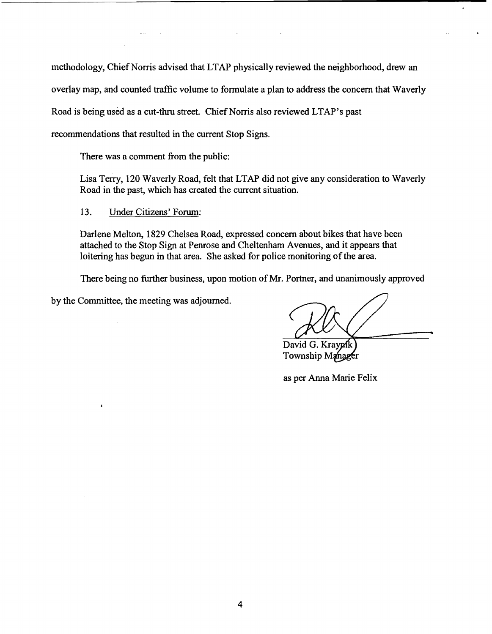methodology, Chief Norris advised that LTAP physically reviewed the neighborhood, drew an overlay map, and counted traffic volume to formulate a plan to address the concern that Waverly Road is being used as a cut-thru street. Chief Norris also reviewed LTAP's past recommendations that resulted in the current Stop Signs.

There was a comment from the public:

Lisa Terry, 120 Waverly Road, felt that LTAP did not give any consideration to Waverly Road in the past, which has created the current situation.

13. Under Citizens' Forum:

Darlene Melton, 1829 Chelsea Road, expressed concern about bikes that have been attached to the Stop Sign at Penrose and Cheltenham Avenues, and it appears that loitering has begun in that area. She asked for police monitoring of the area.

There being no further business, upon motion of Mr. Portner, and unanimously approved

by the Committee, the meeting was adjourned.

David G. Kraypik

Township Manager

as per Anna Marie Felix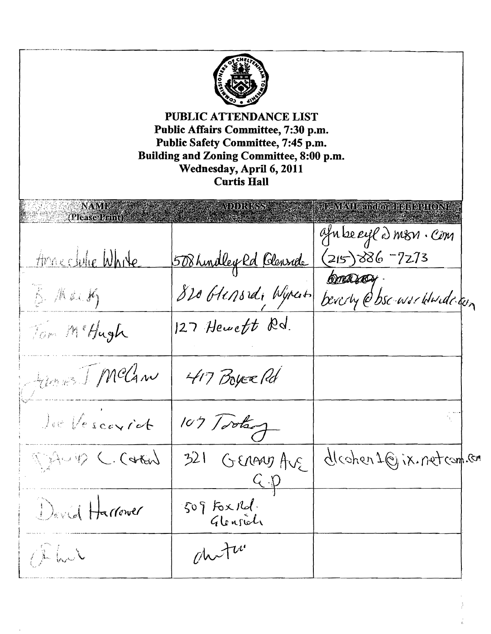| PUBLIC ATTENDANCE LIST<br>Public Affairs Committee, 7:30 p.m.<br>Public Safety Committee, 7:45 p.m.<br>Building and Zoning Committee, 8:00 p.m.<br>Wednesday, April 6, 2011<br><b>Curtis Hall</b> |                                |                                             |  |
|---------------------------------------------------------------------------------------------------------------------------------------------------------------------------------------------------|--------------------------------|---------------------------------------------|--|
| <b>NAME</b><br>(Please Print)                                                                                                                                                                     | ADDRESS                        | E-MAIL and to a neutre no contr             |  |
| Anneclubre White                                                                                                                                                                                  |                                | afn beryld misn. Cim<br>$(215)386 - 7273$   |  |
| B. Mailh                                                                                                                                                                                          | 508 hindley Rd Blenside        | <b>CORRACH</b><br>beverly @bsc-warddwidegin |  |
| Tom McHagh                                                                                                                                                                                        | $127$ Heweft Rd.               |                                             |  |
| Junes J. McCan                                                                                                                                                                                    | 417 Boyce Rd                   |                                             |  |
| Jee Vescorict                                                                                                                                                                                     | 107 Tootsoy                    |                                             |  |
| TAUD C. Carter                                                                                                                                                                                    | 321<br>GERANTAGE<br><u>C.p</u> | dleohen 1@jix.netcom.com                    |  |
| David Harrower                                                                                                                                                                                    | $509$ Fox $100$ .<br>Glenside  |                                             |  |
| Phil                                                                                                                                                                                              | chutu                          |                                             |  |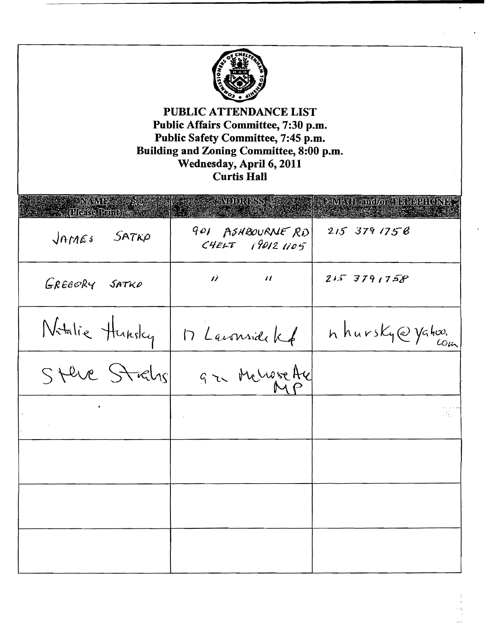

| $\sim$ $\alpha$ (RNMB)      | AUDIRIESS A                         | JE NEVIL and/o IBDUORFOND |
|-----------------------------|-------------------------------------|---------------------------|
| SATK <sub>P</sub><br>JATLES | 901 ASHBOURNE RD<br>CHELT 190121105 | 2153791758                |
| GREBORY SATKO               | $\vec{B}$ and $\vec{B}$             | 21591758                  |
| Natalie Hunsley             | D Laurenside Kf                     | h hursky@yahoo.           |
| Steve Strahr                | gr Muse Au                          |                           |
| $\pmb{\ast}$                |                                     |                           |
|                             |                                     |                           |
|                             |                                     |                           |
|                             |                                     |                           |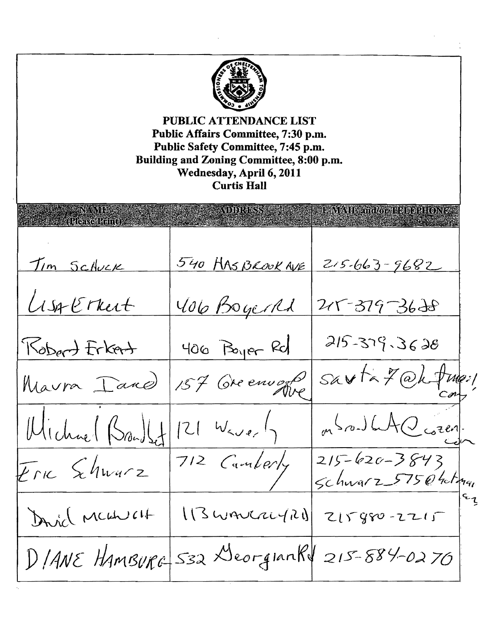**PUBLIC ATTENDANCE LIST Public Affairs Committee, 7:30 p.m. Public Safety Committee, 7:45 p.m. Building and Zoning Committee, 8:00 p.m. Wednesday,** April 6, **2011 Curtis Hall** IEMA IE znako erregeletario 540 HAS BROOK AVE Tim Schuck  $215 - 663 - 9682$ Lisa Erkert 406 BoyerRd 215-379-3628  $215 - 379 - 3628$ Robert Frkert  $406$   $B<sub>91</sub>er Rd$ sarta 7 @hfme:1 157 Greenwood Maura Iane mondal Garen Wichael Brand St  $|2|$   $W_{\leq v_{e}}|$  $215 - 620 - 3843$ 712 Camberly  $F_{\Gamma K}$  Schwarz sc *hvv£t/"*7-\_>7*S-*f) 4ci:  $\zeta$  $\mathsf{r}_1$ David MCGNUCH  $113$ wanczerzal  $21580 - 2215$  $D$ /ANE HamBurg 532 DeorgianRV 215-884-0270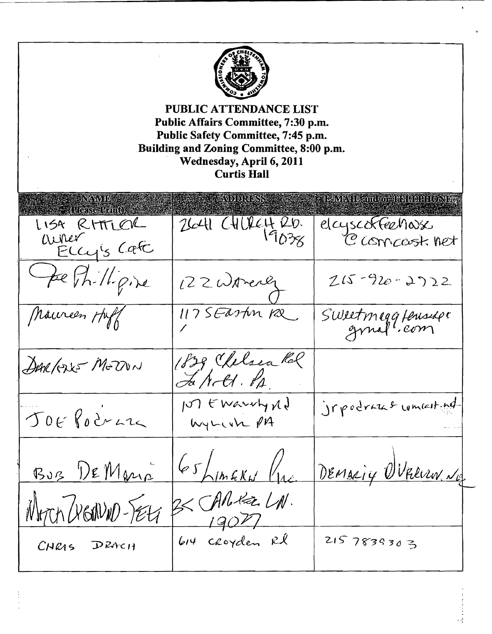| <b>PUBLIC ATTENDANCE LIST</b><br>Public Affairs Committee, 7:30 p.m.<br>Public Safety Committee, 7:45 p.m.<br>Building and Zoning Committee, 8:00 p.m.<br>Wednesday, April 6, 2011<br><b>Curtis Hall</b> |                          |                                                                                                                       |  |
|----------------------------------------------------------------------------------------------------------------------------------------------------------------------------------------------------------|--------------------------|-----------------------------------------------------------------------------------------------------------------------|--|
| AYANDI<br>(Roise Band)                                                                                                                                                                                   | AVDDRUSSS -              | <b>Extented to any control of the Control of Control of the Control of Control of the Control of Control of The C</b> |  |
| LISA RITTLER<br>Where Eugis Cafe                                                                                                                                                                         | $2641$ $CHUE420.$        | elcyscoffeerings<br>C concerst net                                                                                    |  |
| Fee Phillipine                                                                                                                                                                                           | 122 Womener              | $215 - 920 - 2722$                                                                                                    |  |
| Maureen Huff                                                                                                                                                                                             | 117 SEaston Re           | Sweetmaggfensige                                                                                                      |  |
| DARGUE MEZUN                                                                                                                                                                                             | 1839, Chelsea Rol        |                                                                                                                       |  |
| JOE Pocrar                                                                                                                                                                                               | M Ewarry Nd<br>WyLish PA | irpodraze comenting                                                                                                   |  |
| BUB DEMANO                                                                                                                                                                                               | $65$ himakw /            | DEMARIY WRECUN. NG                                                                                                    |  |
| WHITCH DIGONNO-TELA                                                                                                                                                                                      | 3< CARRELA.<br>$-19077$  |                                                                                                                       |  |
| CHRAS DRACH                                                                                                                                                                                              | 614 croyden Rl           | 2157839303                                                                                                            |  |

Ĵ